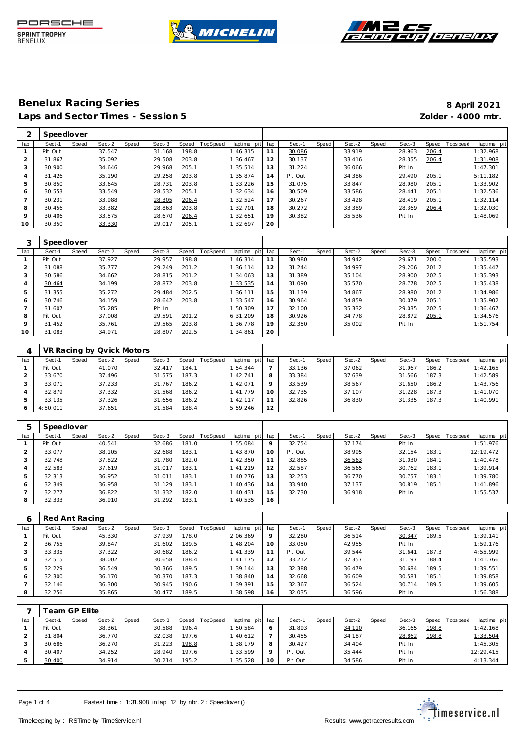





|         | Speedlover |       |        |       |        |       |                |             |     |         |       |        |         |        |       |                  |             |
|---------|------------|-------|--------|-------|--------|-------|----------------|-------------|-----|---------|-------|--------|---------|--------|-------|------------------|-------------|
| lap     | Sect-1     | Speed | Sect-2 | Speed | Sect-3 |       | Speed TopSpeed | laptime pit | lap | Sect-1  | Speed | Sect-2 | Speed ' | Sect-3 |       | Speed   Topspeed | laptime pit |
|         | Pit Out    |       | 37.547 |       | 31.168 | 198.8 |                | 1:46.315    | 11  | 30.086  |       | 33.919 |         | 28.963 | 206.4 |                  | 1:32.968    |
|         | 31.867     |       | 35.092 |       | 29.508 | 203.8 |                | 1:36.467    | 12  | 30.137  |       | 33.416 |         | 28.355 | 206.4 |                  | 1:31.908    |
| 3       | 30.900     |       | 34.646 |       | 29.968 | 205.1 |                | 1:35.514    | 13  | 31.224  |       | 36.066 |         | Pit In |       |                  | 1:47.301    |
| 4       | 31.426     |       | 35.190 |       | 29.258 | 203.8 |                | 1:35.874    | 14  | Pit Out |       | 34.386 |         | 29.490 | 205.1 |                  | 5:11.182    |
| 5       | 30.850     |       | 33.645 |       | 28.731 | 203.8 |                | 1:33.226    | 15  | 31.075  |       | 33.847 |         | 28.980 | 205.1 |                  | 1:33.902    |
| O       | 30.553     |       | 33.549 |       | 28.532 | 205.1 |                | 1:32.634    | 16  | 30.509  |       | 33.586 |         | 28.441 | 205.1 |                  | 1:32.536    |
|         | 30.231     |       | 33.988 |       | 28.305 | 206.4 |                | 1:32.524    | 17  | 30.267  |       | 33.428 |         | 28.419 | 205.1 |                  | 1:32.114    |
| 8       | 30.456     |       | 33.382 |       | 28.863 | 203.8 |                | 1:32.701    | 18  | 30.272  |       | 33.389 |         | 28.369 | 206.4 |                  | 1:32.030    |
| $\circ$ | 30.406     |       | 33.575 |       | 28.670 | 206.4 |                | 1:32.651    | 19  | 30.382  |       | 35.536 |         | Pit In |       |                  | 1:48.069    |
| 10      | 30.350     |       | 33.330 |       | 29.017 | 205.1 |                | 1:32.697    | 20  |         |       |        |         |        |       |                  |             |

|                | Speedlover |       |        |       |        |       |                  |             |     |        |       |        |       |        |       |           |             |
|----------------|------------|-------|--------|-------|--------|-------|------------------|-------------|-----|--------|-------|--------|-------|--------|-------|-----------|-------------|
| lap            | Sect-1     | Speed | Sect-2 | Speed | Sect-3 |       | Speed   TopSpeed | laptime pit | lap | Sect-1 | Speed | Sect-2 | Speed | Sect-3 | Speed | Tops peed | laptime pit |
|                | Pit Out    |       | 37.927 |       | 29.957 | 198.8 |                  | 1:46.314    | 11  | 30.980 |       | 34.942 |       | 29.671 | 200.0 |           | 1:35.593    |
| 2              | 31.088     |       | 35.777 |       | 29.249 | 201.2 |                  | 1:36.114    | 12  | 31.244 |       | 34.997 |       | 29.206 | 201.2 |           | 1:35.447    |
| 3              | 30.586     |       | 34.662 |       | 28.815 | 201.2 |                  | 1:34.063    | 13  | 31.389 |       | 35.104 |       | 28.900 | 202.5 |           | 1:35.393    |
| 4              | 30.464     |       | 34.199 |       | 28.872 | 203.8 |                  | 1:33.535    | 14  | 31.090 |       | 35.570 |       | 28.778 | 202.5 |           | 1:35.438    |
| 5              | 31.355     |       | 35.272 |       | 29.484 | 202.5 |                  | 1:36.111    | 15  | 31.139 |       | 34.867 |       | 28.980 | 201.2 |           | 1:34.986    |
| 6              | 30.746     |       | 34.159 |       | 28.642 | 203.8 |                  | 1:33.547    | 16  | 30.964 |       | 34.859 |       | 30.079 | 205.1 |           | 1:35.902    |
| $\overline{7}$ | 31.607     |       | 35.285 |       | Pit In |       |                  | 1:50.309    | 17  | 32.100 |       | 35.332 |       | 29.035 | 202.5 |           | 1:36.467    |
| 8              | Pit Out    |       | 37.008 |       | 29.591 | 201.2 |                  | 6:31.209    | 18  | 30.926 |       | 34.778 |       | 28.872 | 205.1 |           | 1:34.576    |
| 9              | 31.452     |       | 35.761 |       | 29.565 | 203.8 |                  | 1:36.778    | 19  | 32.350 |       | 35.002 |       | Pit In |       |           | 1:51.754    |
| 10             | 31.083     |       | 34.971 |       | 28.807 | 202.5 |                  | 1:34.861    | 20  |        |       |        |       |        |       |           |             |

|     |          |       | VR Racing by Qvick Motors |       |        |       |                |             |         |        |       |        |       |        |       |                 |             |
|-----|----------|-------|---------------------------|-------|--------|-------|----------------|-------------|---------|--------|-------|--------|-------|--------|-------|-----------------|-------------|
| lap | Sect-1   | Speed | Sect-2                    | Speed | Sect-3 |       | Speed TopSpeed | laptime pit | lap     | Sect-1 | Speed | Sect-2 | Speed | Sect-3 |       | Speed Tops peed | laptime pit |
|     | Pit Out  |       | 41.070                    |       | 32.417 | 184.1 |                | 1:54.344    |         | 33.136 |       | 37.062 |       | 31.967 | 186.2 |                 | 1:42.165    |
|     | 33.670   |       | 37.496                    |       | 31.575 | 187.3 |                | 1:42.741    | 8       | 33.384 |       | 37.639 |       | 31.566 | 187.3 |                 | 1:42.589    |
|     | 33.071   |       | 37.233                    |       | 31.767 | 186.2 |                | 1:42.071    | $\circ$ | 33.539 |       | 38.567 |       | 31.650 | 186.2 |                 | 1:43.756    |
|     | 32.879   |       | 37.332                    |       | 31.568 | 186.2 |                | 1:41.779    | 10      | 32.735 |       | 37.107 |       | 31.228 | 187.3 |                 | 1:41.070    |
|     | 33.135   |       | 37.326                    |       | 31.656 | 186.2 |                | 1:42.117    | 11      | 32.826 |       | 36.830 |       | 31.335 | 187.3 |                 | 1:40.991    |
| 6   | 4:50.011 |       | 37.651                    |       | 31.584 | 188.4 |                | 5:59.246    | 12      |        |       |        |       |        |       |                 |             |

| 5   | Speedlover |       |        |       |        |       |          |             |     |         |       |        |       |        |              |                   |             |
|-----|------------|-------|--------|-------|--------|-------|----------|-------------|-----|---------|-------|--------|-------|--------|--------------|-------------------|-------------|
| lap | Sect-1     | Speed | Sect-2 | Speed | Sect-3 | Speed | TopSpeed | laptime pit | lap | Sect-1  | Speed | Sect-2 | Speed | Sect-3 |              | Speed   Tops peed | laptime pit |
|     | Pit Out    |       | 40.541 |       | 32.686 | 181.0 |          | 1:55.084    | 9   | 32.754  |       | 37.174 |       | Pit In |              |                   | 1:51.976    |
|     | 33.077     |       | 38.105 |       | 32.688 | 183.1 |          | 1:43.870    | 10  | Pit Out |       | 38.995 |       | 32.154 | 183.1        |                   | 12:19.472   |
| 3   | 32.748     |       | 37.822 |       | 31.780 | 182.0 |          | 1:42.350    | 11  | 32.885  |       | 36.563 |       | 31.030 | 184.1        |                   | 1:40.478    |
| 4   | 32.583     |       | 37.619 |       | 31.017 | 183.1 |          | 1:41.219    | 12  | 32.587  |       | 36.565 |       | 30.762 | 183.1        |                   | 1:39.914    |
| 5   | 32.313     |       | 36.952 |       | 31.011 | 183.1 |          | 1:40.276    | 13  | 32.253  |       | 36.770 |       | 30.757 | 183.1        |                   | 1:39.780    |
| 6   | 32.349     |       | 36.958 |       | 31.129 | 183.1 |          | 1:40.436    | 14  | 33.940  |       | 37.137 |       | 30.819 | <u>185.1</u> |                   | 1:41.896    |
|     | 32.277     |       | 36.822 |       | 31.332 | 182.0 |          | 1:40.431    | 15  | 32.730  |       | 36.918 |       | Pit In |              |                   | 1:55.537    |
| 8   | 32.333     |       | 36.910 |       | 31.292 | 183.1 |          | 1:40.535    | 16  |         |       |        |       |        |              |                   |             |

| Q   | Red Ant Racing |       |        |       |        |       |                 |             |     |         |       |        |       |        |       |                   |             |
|-----|----------------|-------|--------|-------|--------|-------|-----------------|-------------|-----|---------|-------|--------|-------|--------|-------|-------------------|-------------|
| lap | Sect-1         | Speed | Sect-2 | Speed | Sect-3 | Speed | <b>TopSpeed</b> | laptime pit | lap | Sect-1  | Speed | Sect-2 | Speed | Sect-3 |       | Speed   Tops peed | laptime pit |
|     | Pit Out        |       | 45.330 |       | 37.939 | 178.0 |                 | 2:06.369    | 9   | 32.280  |       | 36.514 |       | 30.347 | 189.5 |                   | 1:39.141    |
| 2   | 36.755         |       | 39.847 |       | 31.602 | 189.5 |                 | 1:48.204    | 10  | 33.050  |       | 42.955 |       | Pit In |       |                   | 1:59.176    |
| 3   | 33.335         |       | 37.322 |       | 30.682 | 186.2 |                 | 1: 41.339   |     | Pit Out |       | 39.544 |       | 31.641 | 187.3 |                   | 4:55.999    |
| 4   | 32.515         |       | 38.002 |       | 30.658 | 188.4 |                 | 1:41.175    | 12  | 33.212  |       | 37.357 |       | 31.197 | 188.4 |                   | 1:41.766    |
| 5   | 32.229         |       | 36.549 |       | 30.366 | 189.5 |                 | 1:39.144    | 13  | 32.388  |       | 36.479 |       | 30.684 | 189.5 |                   | 1:39.551    |
| 6   | 32.300         |       | 36.170 |       | 30.370 | 187.3 |                 | 1:38.840    | 14  | 32.668  |       | 36.609 |       | 30.581 | 185.1 |                   | 1:39.858    |
|     | 32.146         |       | 36.300 |       | 30.945 | 190.6 |                 | 1:39.391    | 15  | 32.367  |       | 36.524 |       | 30.714 | 189.5 |                   | 1:39.605    |
| 8   | 32.256         |       | 35.865 |       | 30.477 | 189.5 |                 | 1:38.598    | 16  | 32.035  |       | 36.596 |       | Pit In |       |                   | 1:56.388    |

|     |         | eam GP Elite |        |       |        |        |                |             |     |         |       |        |       |        |       |                   |             |
|-----|---------|--------------|--------|-------|--------|--------|----------------|-------------|-----|---------|-------|--------|-------|--------|-------|-------------------|-------------|
| lap | Sect-1  | Speed        | Sect-2 | Speed | Sect-3 |        | Speed TopSpeed | laptime pit | lap | Sect-1  | Speed | Sect-2 | Speed | Sect-3 |       | Speed   Tops peed | laptime pit |
|     | Pit Out |              | 38.361 |       | 30.588 | 196.4  |                | 1:50.584    | 6   | 31.893  |       | 34.110 |       | 36.165 | 198.8 |                   | 1:42.168    |
|     | 31.804  |              | 36.770 |       | 32.038 | 197.6  |                | 1:40.612    |     | 30.455  |       | 34.187 |       | 28.862 | 198.8 |                   | 1:33.504    |
|     | 30.686  |              | 36.270 |       | 31.223 | 198.8  |                | 1:38.179    | 8   | 30.427  |       | 34.404 |       | Pit In |       |                   | 1:45.305    |
|     | 30.407  |              | 34.252 |       | 28.940 | 197.6  |                | 1:33.599    | Q   | Pit Out |       | 35.444 |       | Pit In |       |                   | 12:29.415   |
|     | 30.400  |              | 34.914 |       | 30.214 | 195.21 |                | 1:35.528    | 10  | Pit Out |       | 34.586 |       | Pit In |       |                   | 4:13.344    |

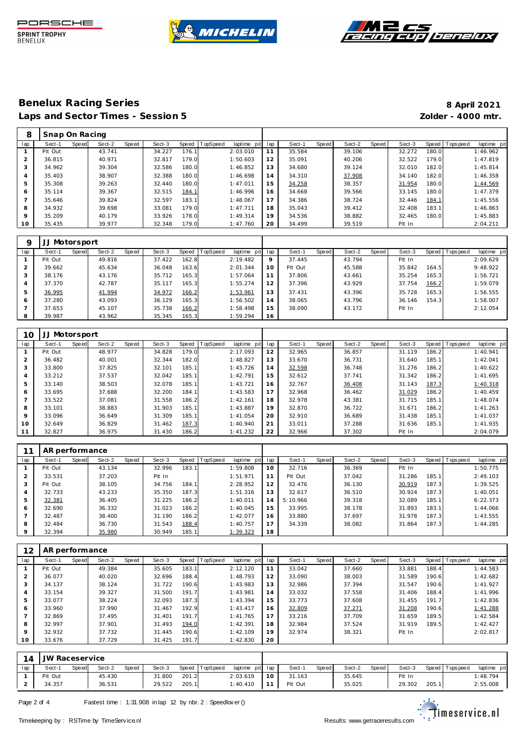





| 8       | Snap On Racing |       |        |       |        |       |                  |             |     |        |       |        |       |        |       |                |             |
|---------|----------------|-------|--------|-------|--------|-------|------------------|-------------|-----|--------|-------|--------|-------|--------|-------|----------------|-------------|
| lap     | Sect-1         | Speed | Sect-2 | Speed | Sect-3 |       | Speed   TopSpeed | laptime pit | lap | Sect-1 | Speed | Sect-2 | Speed | Sect-3 |       | Speed Topspeed | laptime pit |
|         | Pit Out        |       | 43.741 |       | 34.227 | 176.1 |                  | 2:03.010    | 11  | 35.584 |       | 39.106 |       | 32.272 | 180.0 |                | 1:46.962    |
|         | 36.815         |       | 40.971 |       | 32.817 | 179.0 |                  | 1:50.603    | 12  | 35.091 |       | 40.206 |       | 32.522 | 179.0 |                | 1:47.819    |
| 3       | 34.962         |       | 39.304 |       | 32.586 | 180.0 |                  | 1:46.852    | 13  | 34.680 |       | 39.124 |       | 32.010 | 182.0 |                | 1:45.814    |
|         | 35.403         |       | 38.907 |       | 32.388 | 180.0 |                  | 1:46.698    | 14  | 34.310 |       | 37.908 |       | 34.140 | 182.0 |                | 1:46.358    |
| 5       | 35.308         |       | 39.263 |       | 32.440 | 180.0 |                  | 1:47.011    | 15  | 34.258 |       | 38.357 |       | 31.954 | 180.0 |                | 1:44.569    |
| 6       | 35.114         |       | 39.367 |       | 32.515 | 184.1 |                  | 1:46.996    | 16  | 34.668 |       | 39.566 |       | 33.145 | 180.0 |                | 1:47.379    |
|         | 35.646         |       | 39.824 |       | 32.597 | 183.1 |                  | 1:48.067    | 17  | 34.386 |       | 38.724 |       | 32.446 | 184.1 |                | 1:45.556    |
| 8       | 34.932         |       | 39.698 |       | 33.081 | 179.0 |                  | 1:47.711    | 18  | 35.043 |       | 39.412 |       | 32.408 | 183.1 |                | 1:46.863    |
| $\circ$ | 35.209         |       | 40.179 |       | 33.926 | 178.0 |                  | 1:49.314    | 19  | 34.536 |       | 38.882 |       | 32.465 | 180.0 |                | 1:45.883    |
| 10      | 35.435         |       | 39.977 |       | 32.348 | 179.0 |                  | 1:47.760    | 20  | 34.499 |       | 39.519 |       | Pit In |       |                | 2:04.211    |

| Q   |         | Motorsport |        |       |        |       |          |             |             |         |              |        |       |        |       |            |             |
|-----|---------|------------|--------|-------|--------|-------|----------|-------------|-------------|---------|--------------|--------|-------|--------|-------|------------|-------------|
| lap | Sect-1  | Speed      | Sect-2 | Speed | Sect-3 | Speed | TopSpeed | laptime pit | lap         | Sect-1  | <b>Speed</b> | Sect-2 | Speed | Sect-3 | Speed | T ops peed | laptime pit |
|     | Pit Out |            | 49.816 |       | 37.422 | 162.8 |          | 2:19.482    | $\mathsf Q$ | 37.445  |              | 43.794 |       | Pit In |       |            | 2:09.629    |
|     | 39.662  |            | 45.634 |       | 36.048 | 163.6 |          | 2:01.344    | 10          | Pit Out |              | 45.588 |       | 35.842 | 164.5 |            | 9:48.922    |
| 3   | 38.176  |            | 43.176 |       | 35.712 | 165.3 |          | 1:57.064    | 11          | 37.806  |              | 43.661 |       | 35.254 | 165.3 |            | 1:56.721    |
| 4   | 37.370  |            | 42.787 |       | 35.117 | 165.3 |          | 1:55.274    | 12          | 37.396  |              | 43.929 |       | 37.754 | 166.2 |            | 1:59.079    |
| 5   | 36.995  |            | 41.994 |       | 34.972 | 166.2 |          | 1:53.961    | 13          | 37.431  |              | 43.396 |       | 35.728 | 165.3 |            | 1:56.555    |
| 6   | 37.280  |            | 43.093 |       | 36.129 | 165.3 |          | 1:56.502    | 14          | 38.065  |              | 43.796 |       | 36.146 | 154.3 |            | 1:58.007    |
|     | 37.653  |            | 45.107 |       | 35.738 | 166.2 |          | 1:58.498    | 15          | 38.090  |              | 43.172 |       | Pit In |       |            | 2:12.054    |
| 8   | 39.987  |            | 43.962 |       | 35.345 | 165.3 |          | 1:59.294    | 16          |         |              |        |       |        |       |            |             |

| 10      | JJ Motorsport |       |        |       |        |       |                |             |     |        |       |        |       |        |       |                   |             |
|---------|---------------|-------|--------|-------|--------|-------|----------------|-------------|-----|--------|-------|--------|-------|--------|-------|-------------------|-------------|
| lap     | Sect-1        | Speed | Sect-2 | Speed | Sect-3 |       | Speed TopSpeed | laptime pit | lap | Sect-1 | Speed | Sect-2 | Speed | Sect-3 |       | Speed   Tops peed | laptime pit |
|         | Pit Out       |       | 48.977 |       | 34.828 | 179.0 |                | 2:17.093    | 12  | 32.965 |       | 36.857 |       | 31.119 | 186.2 |                   | 1:40.941    |
| 2       | 36.482        |       | 40.001 |       | 32.344 | 182.0 |                | 1:48.827    | 13  | 33.670 |       | 36.731 |       | 31.640 | 185.1 |                   | 1:42.041    |
| 3       | 33.800        |       | 37.825 |       | 32.101 | 185.1 |                | 1:43.726    | 14  | 32.598 |       | 36.748 |       | 31.276 | 186.2 |                   | 1:40.622    |
| 4       | 33.212        |       | 37.537 |       | 32.042 | 185.1 |                | 1:42.791    | 15  | 32.612 |       | 37.741 |       | 31.342 | 186.2 |                   | 1:41.695    |
| 5       | 33.140        |       | 38.503 |       | 32.078 | 185.1 |                | 1:43.721    | 16  | 32.767 |       | 36.408 |       | 31.143 | 187.3 |                   | 1:40.318    |
| 6       | 33.695        |       | 37.688 |       | 32.200 | 184.1 |                | 1:43.583    | 17  | 32.968 |       | 36.462 |       | 31.029 | 186.2 |                   | 1:40.459    |
|         | 33.522        |       | 37.081 |       | 31.558 | 186.2 |                | 1:42.161    | 18  | 32.978 |       | 43.381 |       | 31.715 | 185.1 |                   | 1:48.074    |
| 8       | 33.101        |       | 38.883 |       | 31.903 | 185.1 |                | 1:43.887    | 19  | 32.870 |       | 36.722 |       | 31.671 | 186.2 |                   | 1:41.263    |
| $\circ$ | 33.096        |       | 36.649 |       | 31.309 | 185.1 |                | 1:41.054    | 20  | 32.910 |       | 36.689 |       | 31.438 | 185.1 |                   | 1:41.037    |
| 10      | 32.649        |       | 36.829 |       | 31.462 | 187.3 |                | 1:40.940    | 21  | 33.011 |       | 37.288 |       | 31.636 | 185.1 |                   | 1:41.935    |
|         | 32.827        |       | 36.975 |       | 31.430 | 186.2 |                | 1:41.232    | 22  | 32.966 |       | 37.302 |       | Pit In |       |                   | 2:04.079    |

|     | AR performance |       |        |       |        |           |                 |                |     |          |       |        |       |        |       |                   |             |
|-----|----------------|-------|--------|-------|--------|-----------|-----------------|----------------|-----|----------|-------|--------|-------|--------|-------|-------------------|-------------|
| lap | Sect-1         | Speed | Sect-2 | Speed | Sect-3 | Speed   T | <b>TopSpeed</b> | laptime<br>pit | lap | Sect-1   | Speed | Sect-2 | Speed | Sect-3 |       | Speed   Tops peed | laptime pit |
|     | Pit Out        |       | 43.134 |       | 32.996 | 183.1     |                 | 1:59.808       | 10  | 32.716   |       | 36.369 |       | Pit In |       |                   | 1:50.775    |
|     | 33.531         |       | 37.203 |       | Pit In |           |                 | 1:51.971       | 11  | Pit Out  |       | 37.042 |       | 31.286 | 185.1 |                   | 2:49.103    |
| 3   | Pit Out        |       | 38.105 |       | 34.756 | 184.1     |                 | 2:28.952       | 12  | 32.476   |       | 36.130 |       | 30.919 | 187.3 |                   | 1:39.525    |
| 4   | 32.733         |       | 43.233 |       | 35.350 | 187.3     |                 | 1:51.316       | 13  | 32.617   |       | 36.510 |       | 30.924 | 187.3 |                   | 1:40.051    |
| 5   | 32.381         |       | 36.405 |       | 31.225 | 186.2     |                 | 1:40.011       | 14  | 5:10.966 |       | 39.318 |       | 32.089 | 185.1 |                   | 6:22.373    |
| 6   | 32.690         |       | 36.332 |       | 31.023 | 186.2     |                 | 1:40.045       | 15  | 33.995   |       | 38.178 |       | 31.893 | 183.1 |                   | 1:44.066    |
|     | 32.487         |       | 38.400 |       | 31.190 | 186.2     |                 | 1:42.077       | 16  | 33.880   |       | 37.697 |       | 31.978 | 187.3 |                   | 1:43.555    |
| 8   | 32.484         |       | 36.730 |       | 31.543 | 188.4     |                 | 1:40.757       | 17  | 34.339   |       | 38.082 |       | 31.864 | 187.3 |                   | 1:44.285    |
| 9   | 32.394         |       | 35.980 |       | 30.949 | 185.1     |                 | 1:39.323       | 18  |          |       |        |       |        |       |                   |             |

| 12      | AR performance |       |        |       |        |       |          |             |     |        |       |        |       |        |       |                 |             |
|---------|----------------|-------|--------|-------|--------|-------|----------|-------------|-----|--------|-------|--------|-------|--------|-------|-----------------|-------------|
| lap     | Sect-1         | Speed | Sect-2 | Speed | Sect-3 | Speed | TopSpeed | laptime pit | lap | Sect-1 | Speed | Sect-2 | Speed | Sect-3 |       | Speed Tops peed | laptime pit |
|         | Pit Out        |       | 49.384 |       | 35.605 | 183.1 |          | 2:12.120    | 11  | 33.042 |       | 37.660 |       | 33.881 | 188.4 |                 | 1:44.583    |
|         | 36.077         |       | 40.020 |       | 32.696 | 188.4 |          | 1:48.793    | 12  | 33.090 |       | 38.003 |       | 31.589 | 190.6 |                 | 1:42.682    |
|         | 34.137         |       | 38.124 |       | 31.722 | 190.6 |          | 1:43.983    | 13  | 32.986 |       | 37.394 |       | 31.547 | 190.6 |                 | 1:41.927    |
| 4       | 33.154         |       | 39.327 |       | 31.500 | 191.7 |          | 1:43.981    | 14  | 33.032 |       | 37.558 |       | 31.406 | 188.4 |                 | 1:41.996    |
| 5       | 33.077         |       | 38.224 |       | 32.093 | 187.3 |          | 1:43.394    | 15  | 33.773 |       | 37.608 |       | 31.455 | 191.7 |                 | 1:42.836    |
| 6       | 33.960         |       | 37.990 |       | 31.467 | 192.9 |          | 1:43.417    | 16  | 32.809 |       | 37.271 |       | 31.208 | 190.6 |                 | 1:41.288    |
|         | 32.869         |       | 37.495 |       | 31.401 | 191.7 |          | 1:41.765    | 17  | 33.216 |       | 37.709 |       | 31.659 | 189.5 |                 | 1:42.584    |
| 8       | 32.997         |       | 37.901 |       | 31.493 | 194.0 |          | 1:42.391    | 18  | 32.984 |       | 37.524 |       | 31.919 | 189.5 |                 | 1:42.427    |
| $\circ$ | 32.932         |       | 37.732 |       | 31.445 | 190.6 |          | 1:42.109    | 19  | 32.974 |       | 38.321 |       | Pit In |       |                 | 2:02.817    |
| 10      | 33.676         |       | 37.729 |       | 31.425 | 191.7 |          | 1:42.830    | 20  |        |       |        |       |        |       |                 |             |

| 14  | JW Raceservice |              |        |       |        |       |                |                     |    |        |       |        |       |        |       |                   |             |
|-----|----------------|--------------|--------|-------|--------|-------|----------------|---------------------|----|--------|-------|--------|-------|--------|-------|-------------------|-------------|
| lap | Sect-1         | <b>Speed</b> | Sect-2 | Speed | Sect-3 |       | Speed TopSpeed | laptime pit lap     |    | Sect-1 | Speed | Sect-2 | Speed | Sect-3 |       | Speed   Tops peed | laptime pit |
|     | Pit Out        |              | 45.430 |       | 31.800 | 201.2 |                | 2:03.619            | 10 | 31.163 |       | 35.645 |       | Pit In |       |                   | 1:48.794    |
|     | 34.357         |              | 36.531 |       | 29.522 | 205.1 |                | 1:40.410 11 Pit Out |    |        |       | 35.025 |       | 29.302 | 205.1 |                   | 2:55.008    |

Page 2 of 4 Fastest time : 1:31.908 in lap 12 by nbr. 2 : Speedlov er ()

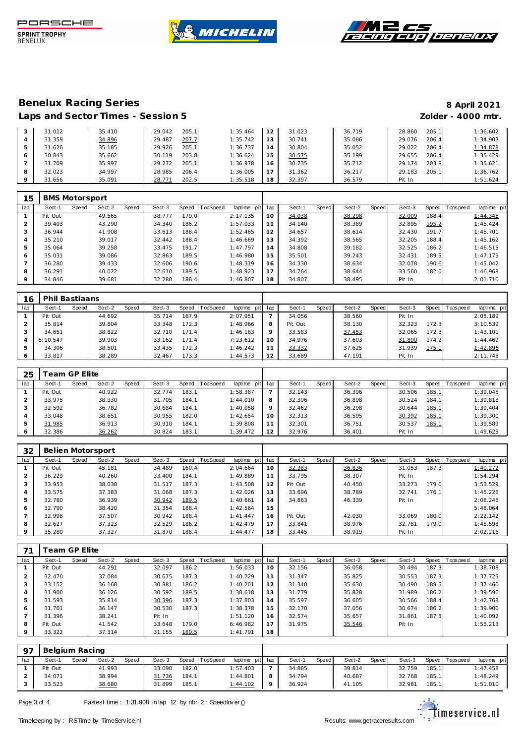





|         | 31.012 | 35.410 | 205.1<br>29.042 | 1:35.464 | 12             | 31.023 | 36.719 | 28.860 | 205.1 | 1:36.602 |
|---------|--------|--------|-----------------|----------|----------------|--------|--------|--------|-------|----------|
|         | 31.359 | 34.896 | 207.7<br>29.487 | 1:35.742 | 13             | 30.741 | 35.086 | 29.076 | 206.4 | 1:34.903 |
|         | 31.626 | 35.185 | 205.1<br>29.926 | 1:36.737 | $\overline{4}$ | 30.804 | 35.052 | 29.022 | 206.4 | 1:34.878 |
| 6       | 30.843 | 35.662 | 203.8<br>30.119 | 1:36.624 | i 5            | 30.575 | 35.199 | 29.655 | 206.4 | 1:35.429 |
|         | 31.709 | 35.997 | 205.1<br>29.272 | 1:36.978 | 16             | 30.735 | 35.712 | 29.174 | 203.8 | 1:35.621 |
| 8       | 32.023 | 34.997 | 206.4<br>28.985 | 1:36.005 |                | 31.362 | 36.217 | 29.183 | 205.1 | 1:36.762 |
| $\circ$ | 31.656 | 35.091 | 202.5<br>28.771 | 1:35.518 | 18             | 32.397 | 36.579 | Pit In |       | 1:51.624 |

| 15  | <b>BMS Motorsport</b> |       |        |       |        |       |                 |                |     |        |       |        |       |        |       |                |             |
|-----|-----------------------|-------|--------|-------|--------|-------|-----------------|----------------|-----|--------|-------|--------|-------|--------|-------|----------------|-------------|
| lap | Sect-1                | Speed | Sect-2 | Speed | Sect-3 | Speed | <b>TopSpeed</b> | laptime<br>pit | lap | Sect-1 | Speed | Sect-2 | Speed | Sect-3 |       | Speed Topspeed | laptime pit |
|     | Pit Out               |       | 49.565 |       | 38.777 | 179.0 |                 | 2:17.135       | 10  | 34.038 |       | 38.298 |       | 32.009 | 188.4 |                | 1:44.345    |
|     | 39.403                |       | 43.290 |       | 34.340 | 186.2 |                 | 1:57.033       | 11  | 34.140 |       | 38.389 |       | 32.895 | 195.2 |                | 1:45.424    |
| 3   | 36.944                |       | 41.908 |       | 33.613 | 188.4 |                 | 1:52.465       | 12  | 34.657 |       | 38.614 |       | 32.430 | 191.7 |                | 1:45.701    |
| 4   | 35.210                |       | 39.017 |       | 32.442 | 188.4 |                 | 1:46.669       | 13  | 34.392 |       | 38.565 |       | 32.205 | 188.4 |                | 1:45.162    |
| 5   | 35.064                |       | 39.258 |       | 33.475 | 191.7 |                 | 1:47.797       | 14  | 34.808 |       | 39.182 |       | 32.525 | 186.2 |                | 1:46.515    |
| 6   | 35.031                |       | 39.086 |       | 32.863 | 189.5 |                 | 1:46.980       | 15  | 35.501 |       | 39.243 |       | 32.431 | 189.5 |                | 1:47.175    |
|     | 36.280                |       | 39.433 |       | 32.606 | 190.6 |                 | 1:48.319       | 16  | 34.330 |       | 38.634 |       | 32.078 | 190.6 |                | 1:45.042    |
| 8   | 36.291                |       | 40.022 |       | 32.610 | 189.5 |                 | 1:48.923       | 17  | 34.764 |       | 38.644 |       | 33.560 | 182.0 |                | 1:46.968    |
| 9   | 34.846                |       | 39.681 |       | 32.280 | 188.4 |                 | 1:46.807       | 18  | 34.807 |       | 38.495 |       | Pit In |       |                | 2:01.710    |

| 16  | Phil Bastiaans |       |        |       |        |       |                  |                |         |         |       |        |              |        |              |            |             |
|-----|----------------|-------|--------|-------|--------|-------|------------------|----------------|---------|---------|-------|--------|--------------|--------|--------------|------------|-------------|
| lap | Sect-1         | Speed | Sect-2 | Speed | Sect-3 |       | Speed   TopSpeed | laptime<br>pit | lap     | Sect-1  | Speed | Sect-2 | <b>Speed</b> | Sect-3 | Speed        | Tops pee d | laptime pit |
|     | Pit Out        |       | 44.692 |       | 35.714 | 167.9 |                  | 2:07.951       |         | 34.056  |       | 38.560 |              | Pit In |              |            | 2:05.189    |
|     | 35.814         |       | 39.804 |       | 33.348 | 172.3 |                  | 1:48.966       | 8       | Pit Out |       | 38.130 |              | 32.323 | 172.3        |            | 3:10.539    |
|     | 34.651         |       | 38.822 |       | 32.710 | 171.4 |                  | 1:46.183       | $\circ$ | 33.583  |       | 37.453 |              | 32.065 | 172.3        |            | 1:43.101    |
|     | 6:10.547       |       | 39.903 |       | 33.162 | 171.4 |                  | 7:23.612       | 10      | 34.976  |       | 37.603 |              | 31.890 | 174.2        |            | 1:44.469    |
|     | 34.306         |       | 38.501 |       | 33.435 | 172.3 |                  | 1:46.242       |         | 33.332  |       | 37.625 |              | 31.939 | <u>175.1</u> |            | 1:42.896    |
|     | 33.817         |       | 38.289 |       | 32.467 | 173.3 |                  | 1:44.573       | 12      | 33.689  |       | 47.191 |              | Pit In |              |            | 2:11.745    |

| 25            |         | eam GP Elite |        |              |        |       |          |             |     |        |              |        |       |        |              |            |             |
|---------------|---------|--------------|--------|--------------|--------|-------|----------|-------------|-----|--------|--------------|--------|-------|--------|--------------|------------|-------------|
| lap           | Sect-1  | Speed        | Sect-2 | <b>Speed</b> | Sect-3 | Speed | TopSpeed | laptime pit | lap | Sect-  | <b>Speed</b> | Sect-2 | Speed | Sect-3 | Speed        | Tops pee d | laptime pit |
|               | Pit Out |              | 40.922 |              | 32.774 | 183.1 |          | 1:58.387    |     | 32.143 |              | 36.396 |       | 30.506 | 185.1        |            | 1:39.045    |
|               | 33.975  |              | 38.330 |              | 31.705 | 184.1 |          | 1:44.010    | 8   | 32.396 |              | 36.898 |       | 30.524 | 184.1        |            | 1:39.818    |
|               | 32.592  |              | 36.782 |              | 30.684 | 184.1 |          | 1:40.058    | Q   | 32.462 |              | 36.298 |       | 30.644 | <u>185.1</u> |            | 1:39.404    |
|               | 33.048  |              | 38.651 |              | 30.955 | 182.0 |          | 1:42.654    | 10  | 32.313 |              | 36.595 |       | 30.392 | 185.1        |            | 1:39.300    |
| $\mathcal{P}$ | 31.985  |              | 36.913 |              | 30.910 | 184.1 |          | 1:39.808    | 11  | 32.301 |              | 36.751 |       | 30.537 | <u>185.1</u> |            | 1:39.589    |
| 6             | 32.386  |              | 36.262 |              | 30.824 | 183.1 |          | 1:39.472    | 12  | 32.976 |              | 36.401 |       | Pit In |              |            | 1:49.625    |

| 32      |         |       | Belien Motorsport |       |        |       |                 |             |     |         |       |        |       |        |       |                   |             |
|---------|---------|-------|-------------------|-------|--------|-------|-----------------|-------------|-----|---------|-------|--------|-------|--------|-------|-------------------|-------------|
| lap     | Sect-1  | Speed | Sect-2            | Speed | Sect-3 | Speed | <b>TopSpeed</b> | laptime pit | lap | Sect-1  | Speed | Sect-2 | Speed | Sect-3 |       | Speed   Tops peed | laptime pit |
|         | Pit Out |       | 45.181            |       | 34.489 | 160.4 |                 | 2:04.664    | 10  | 32.383  |       | 36.836 |       | 31.053 | 187.3 |                   | 1:40.272    |
|         | 36.229  |       | 40.260            |       | 33.400 | 184.1 |                 | 1:49.889    | 11  | 33.795  |       | 38.307 |       | Pit In |       |                   | 1:54.294    |
| 3       | 33.953  |       | 38.038            |       | 31.517 | 187.3 |                 | 1:43.508    | 12  | Pit Out |       | 40.450 |       | 33.273 | 179.0 |                   | 3:53.529    |
| 4       | 33.575  |       | 37.383            |       | 31.068 | 187.3 |                 | 1:42.026    | 13  | 33.696  |       | 38.789 |       | 32.741 | 176.1 |                   | 1:45.226    |
| 5       | 32.780  |       | 36.939            |       | 30.942 | 189.5 |                 | 1:40.661    | 14  | 34.863  |       | 46.339 |       | Pit In |       |                   | 2:08.246    |
| 6       | 32.790  |       | 38.420            |       | 31.354 | 188.4 |                 | 1:42.564    | 15  |         |       |        |       |        |       |                   | 5:48.064    |
|         | 32.998  |       | 37.507            |       | 30.942 | 188.4 |                 | 1: 41.447   | 16  | Pit Out |       | 42.030 |       | 33.069 | 180.0 |                   | 2:22.142    |
| 8       | 32.627  |       | 37.323            |       | 32.529 | 186.2 |                 | 1:42.479    | 17  | 33.841  |       | 38.976 |       | 32.781 | 179.0 |                   | 1:45.598    |
| $\circ$ | 35.280  |       | 37.327            |       | 31.870 | 188.4 |                 | 1:44.477    | 18  | 33.445  |       | 38.919 |       | Pit In |       |                   | 2:02.216    |

|         | <sup>r</sup> eam GP Elite |       |        |       |        |       |          |             |     |        |       |        |       |        |       |                |             |
|---------|---------------------------|-------|--------|-------|--------|-------|----------|-------------|-----|--------|-------|--------|-------|--------|-------|----------------|-------------|
| lap     | Sect-1                    | Speed | Sect-2 | Speed | Sect-3 | Speed | TopSpeed | laptime pit | lap | Sect-1 | Speed | Sect-2 | Speed | Sect-3 |       | Speed Topspeed | laptime pit |
|         | Pit Out                   |       | 44.291 |       | 32.097 | 186.2 |          | 1:56.033    | 10  | 32.156 |       | 36.058 |       | 30.494 | 187.3 |                | 1:38.708    |
|         | 32.470                    |       | 37.084 |       | 30.675 | 187.3 |          | 1:40.229    | 11  | 31.347 |       | 35.825 |       | 30.553 | 187.3 |                | 1:37.725    |
| 3       | 33.152                    |       | 36.168 |       | 30.881 | 186.2 |          | 1:40.201    | 12  | 31.340 |       | 35.630 |       | 30.490 | 189.5 |                | 1:37.460    |
|         | 31.900                    |       | 36.126 |       | 30.592 | 189.5 |          | 1:38.618    | 13  | 31.779 |       | 35.828 |       | 31.989 | 186.2 |                | 1:39.596    |
| 5       | 31.593                    |       | 35.814 |       | 30.396 | 187.3 |          | 1:37.803    | 14  | 35.597 |       | 36.605 |       | 30.566 | 188.4 |                | 1:42.768    |
| 6       | 31.701                    |       | 36.147 |       | 30.530 | 187.3 |          | 1:38.378    | 15  | 32.170 |       | 37.056 |       | 30.674 | 186.2 |                | 1:39.900    |
|         | 31.396                    |       | 38.241 |       | Pit In |       |          | 1:51.120    | 16  | 32.574 |       | 35.657 |       | 31.861 | 187.3 |                | 1:40.092    |
| 8       | Pit Out                   |       | 41.542 |       | 33.648 | 179.0 |          | 6:46.982    | 17  | 31.975 |       | 35.546 |       | Pit In |       |                | 1:55.213    |
| $\circ$ | 33.322                    |       | 37.314 |       | 31.155 | 189.5 |          | 1:41.791    | 18  |        |       |        |       |        |       |                |             |

| <b>Q7</b> | Belgium Racing |       |        |              |        |       |                |                   |         |        |       |        |              |        |       |          |             |
|-----------|----------------|-------|--------|--------------|--------|-------|----------------|-------------------|---------|--------|-------|--------|--------------|--------|-------|----------|-------------|
| lap       | Sect-1         | Speed | Sect-2 | <b>Speed</b> | Sect-3 |       | Speed TopSpeed | laptime pit       | lap     | Sect-1 | Speed | Sect-2 | <b>Speed</b> | Sect-3 | Speed | Topspeed | laptime pit |
|           | Pit Out        |       | 41.993 |              | 33.090 | 182.0 |                | 1:57.403          |         | 34.885 |       | 39.814 |              | 32.759 | 185.1 |          | 1:47.458    |
|           | 34.071         |       | 38.994 |              | 31.736 | 184.1 |                | $1:44.80^{\circ}$ |         | 34.794 |       | 40.687 |              | 32.768 | 185.1 |          | 1:48.249    |
|           | 33.523         |       | 38.680 |              | 31.899 | 185.1 |                | <u>1:44.102</u>   | $\circ$ | 36.924 |       | 41.105 |              | 32.981 | 185.1 |          | 1:51.010    |

Page 3 of 4 Fastest time : 1:31.908 in lap 12 by nbr. 2 : Speedlov er ()